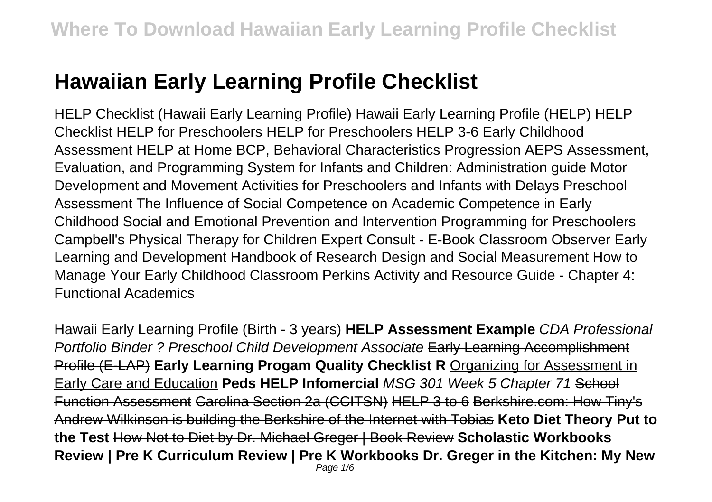# **Hawaiian Early Learning Profile Checklist**

HELP Checklist (Hawaii Early Learning Profile) Hawaii Early Learning Profile (HELP) HELP Checklist HELP for Preschoolers HELP for Preschoolers HELP 3-6 Early Childhood Assessment HELP at Home BCP, Behavioral Characteristics Progression AEPS Assessment, Evaluation, and Programming System for Infants and Children: Administration guide Motor Development and Movement Activities for Preschoolers and Infants with Delays Preschool Assessment The Influence of Social Competence on Academic Competence in Early Childhood Social and Emotional Prevention and Intervention Programming for Preschoolers Campbell's Physical Therapy for Children Expert Consult - E-Book Classroom Observer Early Learning and Development Handbook of Research Design and Social Measurement How to Manage Your Early Childhood Classroom Perkins Activity and Resource Guide - Chapter 4: Functional Academics

Hawaii Early Learning Profile (Birth - 3 years) **HELP Assessment Example** CDA Professional Portfolio Binder ? Preschool Child Development Associate Early Learning Accomplishment Profile (E-LAP) **Early Learning Progam Quality Checklist R** Organizing for Assessment in Early Care and Education **Peds HELP Infomercial** MSG 301 Week 5 Chapter 71 School Function Assessment Carolina Section 2a (CCITSN) HELP 3 to 6 Berkshire.com: How Tiny's Andrew Wilkinson is building the Berkshire of the Internet with Tobias **Keto Diet Theory Put to the Test** How Not to Diet by Dr. Michael Greger | Book Review **Scholastic Workbooks Review | Pre K Curriculum Review | Pre K Workbooks Dr. Greger in the Kitchen: My New** Page 1/6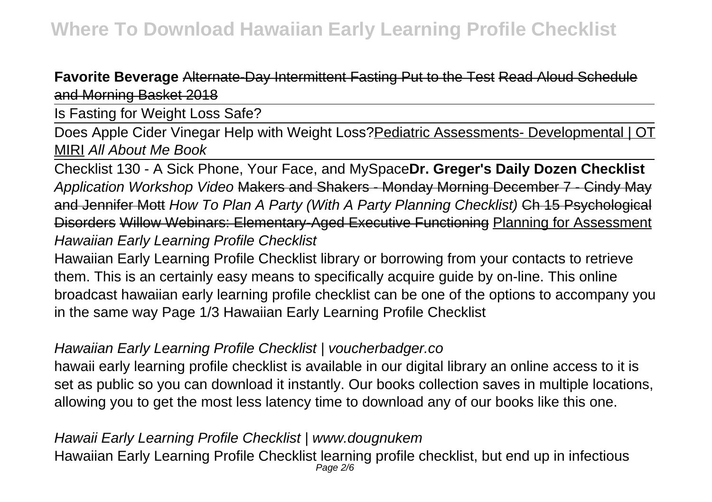**Favorite Beverage** Alternate-Day Intermittent Fasting Put to the Test Read Aloud Schedule and Morning Basket 2018

Is Fasting for Weight Loss Safe?

Does Apple Cider Vinegar Help with Weight Loss? Pediatric Assessments- Developmental | OT MIRI All About Me Book

Checklist 130 - A Sick Phone, Your Face, and MySpace**Dr. Greger's Daily Dozen Checklist** Application Workshop Video Makers and Shakers - Monday Morning December 7 - Cindy May and Jennifer Mott How To Plan A Party (With A Party Planning Checklist) Ch 15 Psychological Disorders Willow Webinars: Elementary-Aged Executive Functioning Planning for Assessment Hawaiian Early Learning Profile Checklist

Hawaiian Early Learning Profile Checklist library or borrowing from your contacts to retrieve them. This is an certainly easy means to specifically acquire guide by on-line. This online broadcast hawaiian early learning profile checklist can be one of the options to accompany you in the same way Page 1/3 Hawaiian Early Learning Profile Checklist

# Hawaiian Early Learning Profile Checklist | voucherbadger.co

hawaii early learning profile checklist is available in our digital library an online access to it is set as public so you can download it instantly. Our books collection saves in multiple locations, allowing you to get the most less latency time to download any of our books like this one.

Page 2/6

Hawaii Early Learning Profile Checklist | www.dougnukem Hawaiian Early Learning Profile Checklist learning profile checklist, but end up in infectious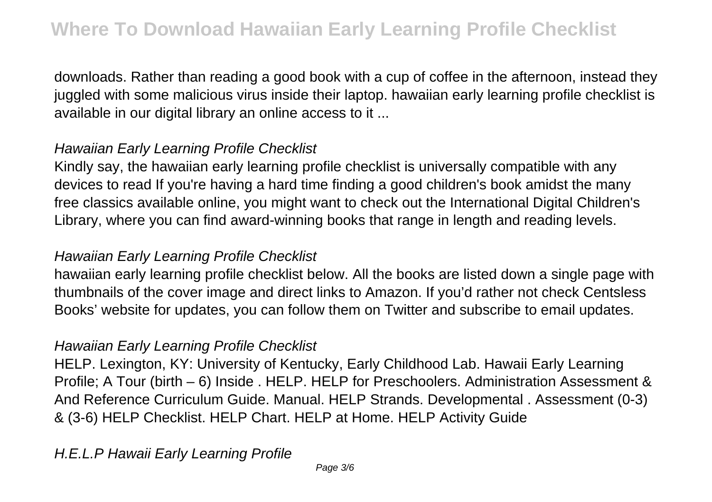downloads. Rather than reading a good book with a cup of coffee in the afternoon, instead they juggled with some malicious virus inside their laptop. hawaiian early learning profile checklist is available in our digital library an online access to it ...

# Hawaiian Early Learning Profile Checklist

Kindly say, the hawaiian early learning profile checklist is universally compatible with any devices to read If you're having a hard time finding a good children's book amidst the many free classics available online, you might want to check out the International Digital Children's Library, where you can find award-winning books that range in length and reading levels.

#### Hawaiian Early Learning Profile Checklist

hawaiian early learning profile checklist below. All the books are listed down a single page with thumbnails of the cover image and direct links to Amazon. If you'd rather not check Centsless Books' website for updates, you can follow them on Twitter and subscribe to email updates.

## Hawaiian Early Learning Profile Checklist

HELP. Lexington, KY: University of Kentucky, Early Childhood Lab. Hawaii Early Learning Profile; A Tour (birth – 6) Inside . HELP. HELP for Preschoolers. Administration Assessment & And Reference Curriculum Guide. Manual. HELP Strands. Developmental . Assessment (0-3) & (3-6) HELP Checklist. HELP Chart. HELP at Home. HELP Activity Guide

## H.E.L.P Hawaii Early Learning Profile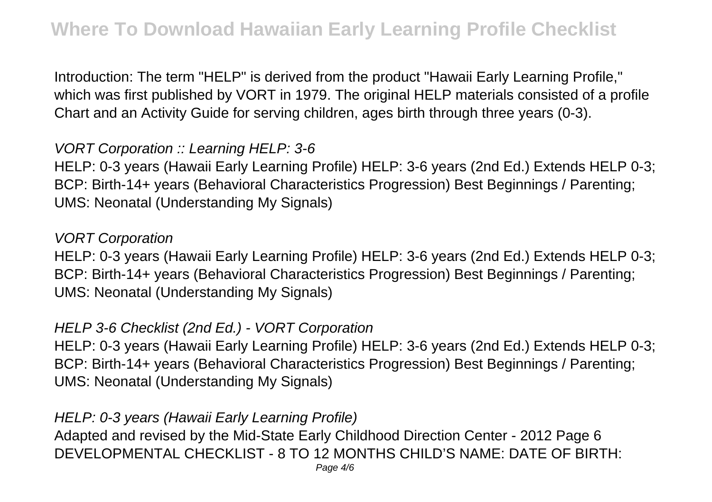Introduction: The term "HELP" is derived from the product "Hawaii Early Learning Profile," which was first published by VORT in 1979. The original HELP materials consisted of a profile Chart and an Activity Guide for serving children, ages birth through three years (0-3).

## VORT Corporation :: Learning HELP: 3-6

HELP: 0-3 years (Hawaii Early Learning Profile) HELP: 3-6 years (2nd Ed.) Extends HELP 0-3; BCP: Birth-14+ years (Behavioral Characteristics Progression) Best Beginnings / Parenting; UMS: Neonatal (Understanding My Signals)

#### VORT Corporation

HELP: 0-3 years (Hawaii Early Learning Profile) HELP: 3-6 years (2nd Ed.) Extends HELP 0-3; BCP: Birth-14+ years (Behavioral Characteristics Progression) Best Beginnings / Parenting; UMS: Neonatal (Understanding My Signals)

#### HELP 3-6 Checklist (2nd Ed.) - VORT Corporation

HELP: 0-3 years (Hawaii Early Learning Profile) HELP: 3-6 years (2nd Ed.) Extends HELP 0-3; BCP: Birth-14+ years (Behavioral Characteristics Progression) Best Beginnings / Parenting; UMS: Neonatal (Understanding My Signals)

#### HELP: 0-3 years (Hawaii Early Learning Profile)

Adapted and revised by the Mid-State Early Childhood Direction Center - 2012 Page 6 DEVELOPMENTAL CHECKLIST - 8 TO 12 MONTHS CHILD'S NAME: DATE OF BIRTH: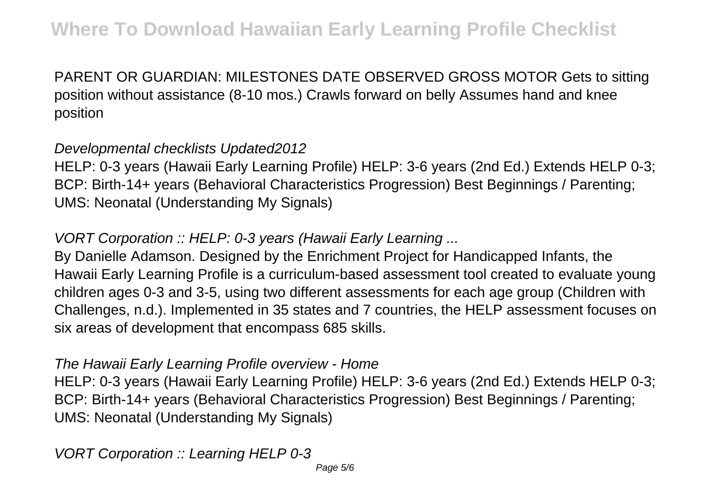PARENT OR GUARDIAN: MILESTONES DATE OBSERVED GROSS MOTOR Gets to sitting position without assistance (8-10 mos.) Crawls forward on belly Assumes hand and knee position

## Developmental checklists Updated2012

HELP: 0-3 years (Hawaii Early Learning Profile) HELP: 3-6 years (2nd Ed.) Extends HELP 0-3; BCP: Birth-14+ years (Behavioral Characteristics Progression) Best Beginnings / Parenting; UMS: Neonatal (Understanding My Signals)

# VORT Corporation :: HELP: 0-3 years (Hawaii Early Learning ...

By Danielle Adamson. Designed by the Enrichment Project for Handicapped Infants, the Hawaii Early Learning Profile is a curriculum-based assessment tool created to evaluate young children ages 0-3 and 3-5, using two different assessments for each age group (Children with Challenges, n.d.). Implemented in 35 states and 7 countries, the HELP assessment focuses on six areas of development that encompass 685 skills.

#### The Hawaii Early Learning Profile overview - Home

HELP: 0-3 years (Hawaii Early Learning Profile) HELP: 3-6 years (2nd Ed.) Extends HELP 0-3; BCP: Birth-14+ years (Behavioral Characteristics Progression) Best Beginnings / Parenting; UMS: Neonatal (Understanding My Signals)

VORT Corporation :: Learning HELP 0-3